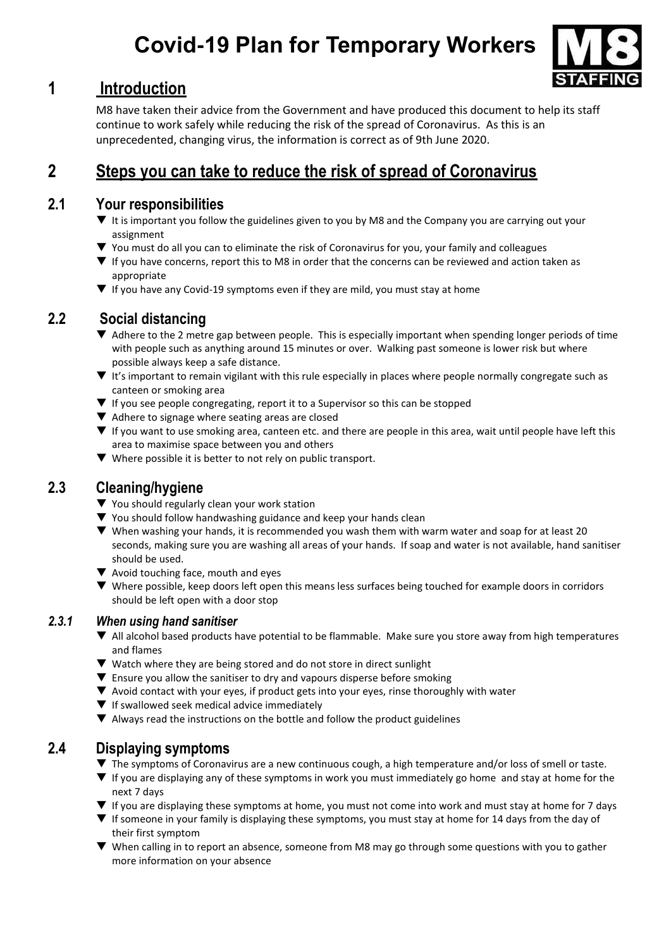# **Covid-19 Plan for Temporary Workers**



## **1 Introduction**

M8 have taken their advice from the Government and have produced this document to help its staff continue to work safely while reducing the risk of the spread of Coronavirus. As this is an unprecedented, changing virus, the information is correct as of 9th June 2020.

# **2 Steps you can take to reduce the risk of spread of Coronavirus**

#### **2.1 Your responsibilities**

- ▼ It is important you follow the guidelines given to you by M8 and the Company you are carrying out your assignment
- You must do all you can to eliminate the risk of Coronavirus for you, your family and colleagues
- $\blacktriangledown$  If you have concerns, report this to M8 in order that the concerns can be reviewed and action taken as appropriate
- $\blacktriangledown$  If you have any Covid-19 symptoms even if they are mild, you must stay at home

## **2.2 Social distancing**

- Adhere to the 2 metre gap between people. This is especially important when spending longer periods of time with people such as anything around 15 minutes or over. Walking past someone is lower risk but where possible always keep a safe distance.
- ▼ It's important to remain vigilant with this rule especially in places where people normally congregate such as canteen or smoking area
- $\blacktriangledown$  If you see people congregating, report it to a Supervisor so this can be stopped
- $\blacktriangledown$  Adhere to signage where seating areas are closed
- If you want to use smoking area, canteen etc. and there are people in this area, wait until people have left this area to maximise space between you and others
- ▼ Where possible it is better to not rely on public transport.

## **2.3 Cleaning/hygiene**

- ▼ You should regularly clean your work station
- $\blacktriangledown$  You should follow handwashing guidance and keep your hands clean
- When washing your hands, it is recommended you wash them with warm water and soap for at least 20 seconds, making sure you are washing all areas of your hands. If soap and water is not available, hand sanitiser should be used.
- ▼ Avoid touching face, mouth and eyes
- Where possible, keep doors left open this means less surfaces being touched for example doors in corridors should be left open with a door stop

#### *2.3.1 When using hand sanitiser*

- All alcohol based products have potential to be flammable. Make sure you store away from high temperatures and flames
- $\blacktriangledown$  Watch where they are being stored and do not store in direct sunlight
- $\blacktriangledown$  Ensure you allow the sanitiser to dry and vapours disperse before smoking
- Avoid contact with your eyes, if product gets into your eyes, rinse thoroughly with water
- $\Psi$  If swallowed seek medical advice immediately
- $\blacktriangledown$  Always read the instructions on the bottle and follow the product guidelines

## **2.4 Displaying symptoms**

- ▼ The symptoms of Coronavirus are a new continuous cough, a high temperature and/or loss of smell or taste.
- If you are displaying any of these symptoms in work you must immediately go home and stay at home for the next 7 days
- ▼ If you are displaying these symptoms at home, you must not come into work and must stay at home for 7 days
- **V** If someone in your family is displaying these symptoms, you must stay at home for 14 days from the day of their first symptom
- When calling in to report an absence, someone from M8 may go through some questions with you to gather more information on your absence